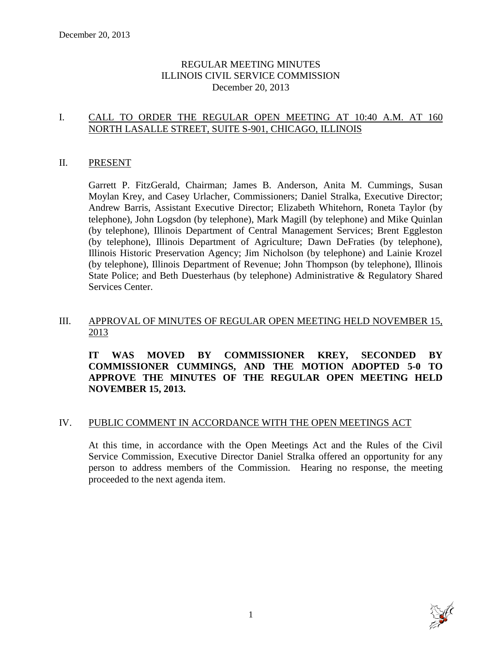# REGULAR MEETING MINUTES ILLINOIS CIVIL SERVICE COMMISSION December 20, 2013

# I. CALL TO ORDER THE REGULAR OPEN MEETING AT 10:40 A.M. AT 160 NORTH LASALLE STREET, SUITE S-901, CHICAGO, ILLINOIS

#### II. PRESENT

Garrett P. FitzGerald, Chairman; James B. Anderson, Anita M. Cummings, Susan Moylan Krey, and Casey Urlacher, Commissioners; Daniel Stralka, Executive Director; Andrew Barris, Assistant Executive Director; Elizabeth Whitehorn, Roneta Taylor (by telephone), John Logsdon (by telephone), Mark Magill (by telephone) and Mike Quinlan (by telephone), Illinois Department of Central Management Services; Brent Eggleston (by telephone), Illinois Department of Agriculture; Dawn DeFraties (by telephone), Illinois Historic Preservation Agency; Jim Nicholson (by telephone) and Lainie Krozel (by telephone), Illinois Department of Revenue; John Thompson (by telephone), Illinois State Police; and Beth Duesterhaus (by telephone) Administrative & Regulatory Shared Services Center.

# III. APPROVAL OF MINUTES OF REGULAR OPEN MEETING HELD NOVEMBER 15, 2013

# **IT WAS MOVED BY COMMISSIONER KREY, SECONDED BY COMMISSIONER CUMMINGS, AND THE MOTION ADOPTED 5-0 TO APPROVE THE MINUTES OF THE REGULAR OPEN MEETING HELD NOVEMBER 15, 2013.**

#### IV. PUBLIC COMMENT IN ACCORDANCE WITH THE OPEN MEETINGS ACT

At this time, in accordance with the Open Meetings Act and the Rules of the Civil Service Commission, Executive Director Daniel Stralka offered an opportunity for any person to address members of the Commission. Hearing no response, the meeting proceeded to the next agenda item.

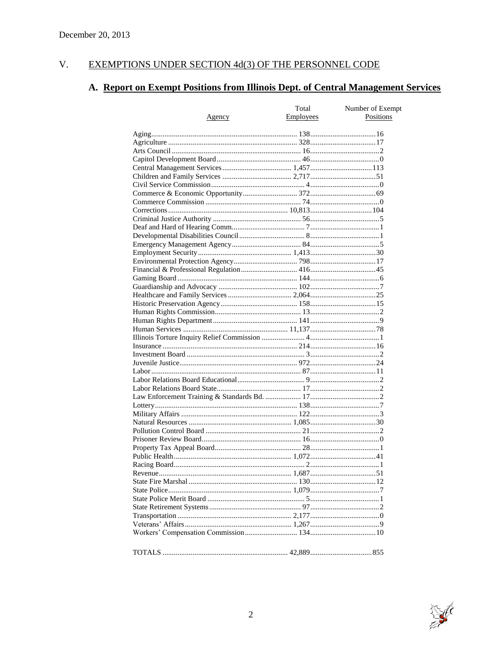#### EXEMPTIONS UNDER SECTION 4d(3) OF THE PERSONNEL CODE V.

# A. Report on Exempt Positions from Illinois Dept. of Central Management Services

|               | Total            | Number of Exempt |
|---------------|------------------|------------------|
| <u>Agency</u> | <b>Employees</b> | Positions        |
|               |                  |                  |
|               |                  |                  |
|               |                  |                  |
|               |                  |                  |
|               |                  |                  |
|               |                  |                  |
|               |                  |                  |
|               |                  |                  |
|               |                  |                  |
|               |                  |                  |
|               |                  |                  |
|               |                  |                  |
|               |                  |                  |
|               |                  |                  |
|               |                  |                  |
|               |                  |                  |
|               |                  |                  |
|               |                  |                  |
|               |                  |                  |
|               |                  |                  |
|               |                  |                  |
|               |                  |                  |
|               |                  |                  |
|               |                  |                  |
|               |                  |                  |
|               |                  |                  |
|               |                  |                  |
|               |                  |                  |
|               |                  |                  |
|               |                  |                  |
|               |                  |                  |
|               |                  |                  |
|               |                  |                  |
|               |                  |                  |
|               |                  |                  |
|               |                  |                  |
|               |                  |                  |
|               |                  |                  |
|               |                  |                  |
|               |                  |                  |
|               |                  |                  |
|               |                  |                  |
|               |                  |                  |
|               |                  |                  |
|               |                  |                  |
|               |                  |                  |
|               |                  |                  |
|               |                  |                  |
|               |                  |                  |
|               |                  |                  |
|               |                  |                  |
|               |                  |                  |
|               |                  |                  |

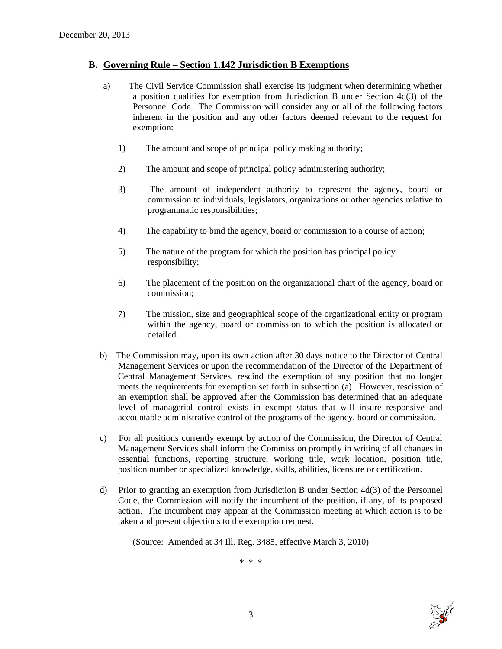#### **B. Governing Rule – Section 1.142 Jurisdiction B Exemptions**

- a) The Civil Service Commission shall exercise its judgment when determining whether a position qualifies for exemption from Jurisdiction B under Section 4d(3) of the Personnel Code. The Commission will consider any or all of the following factors inherent in the position and any other factors deemed relevant to the request for exemption:
	- 1) The amount and scope of principal policy making authority;
	- 2) The amount and scope of principal policy administering authority;
	- 3) The amount of independent authority to represent the agency, board or commission to individuals, legislators, organizations or other agencies relative to programmatic responsibilities;
	- 4) The capability to bind the agency, board or commission to a course of action;
	- 5) The nature of the program for which the position has principal policy responsibility;
	- 6) The placement of the position on the organizational chart of the agency, board or commission;
	- 7) The mission, size and geographical scope of the organizational entity or program within the agency, board or commission to which the position is allocated or detailed.
- b) The Commission may, upon its own action after 30 days notice to the Director of Central Management Services or upon the recommendation of the Director of the Department of Central Management Services, rescind the exemption of any position that no longer meets the requirements for exemption set forth in subsection (a). However, rescission of an exemption shall be approved after the Commission has determined that an adequate level of managerial control exists in exempt status that will insure responsive and accountable administrative control of the programs of the agency, board or commission.
- c) For all positions currently exempt by action of the Commission, the Director of Central Management Services shall inform the Commission promptly in writing of all changes in essential functions, reporting structure, working title, work location, position title, position number or specialized knowledge, skills, abilities, licensure or certification.
- d) Prior to granting an exemption from Jurisdiction B under Section 4d(3) of the Personnel Code, the Commission will notify the incumbent of the position, if any, of its proposed action. The incumbent may appear at the Commission meeting at which action is to be taken and present objections to the exemption request.

(Source: Amended at 34 Ill. Reg. 3485, effective March 3, 2010)

\* \* \*

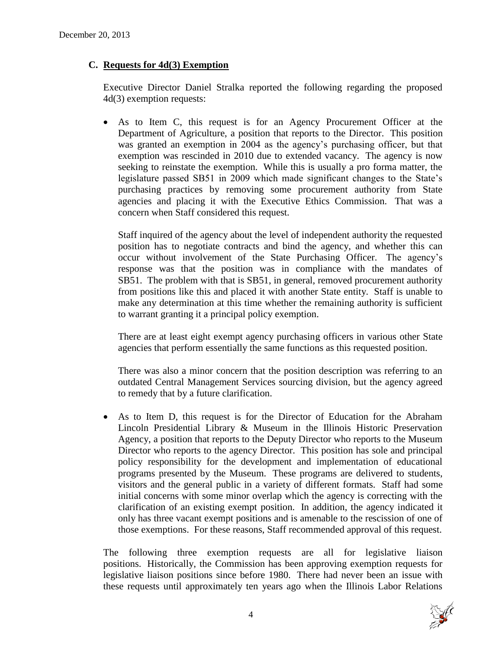# **C. Requests for 4d(3) Exemption**

Executive Director Daniel Stralka reported the following regarding the proposed 4d(3) exemption requests:

 As to Item C, this request is for an Agency Procurement Officer at the Department of Agriculture, a position that reports to the Director. This position was granted an exemption in 2004 as the agency's purchasing officer, but that exemption was rescinded in 2010 due to extended vacancy. The agency is now seeking to reinstate the exemption. While this is usually a pro forma matter, the legislature passed SB51 in 2009 which made significant changes to the State's purchasing practices by removing some procurement authority from State agencies and placing it with the Executive Ethics Commission. That was a concern when Staff considered this request.

Staff inquired of the agency about the level of independent authority the requested position has to negotiate contracts and bind the agency, and whether this can occur without involvement of the State Purchasing Officer. The agency's response was that the position was in compliance with the mandates of SB51. The problem with that is SB51, in general, removed procurement authority from positions like this and placed it with another State entity. Staff is unable to make any determination at this time whether the remaining authority is sufficient to warrant granting it a principal policy exemption.

There are at least eight exempt agency purchasing officers in various other State agencies that perform essentially the same functions as this requested position.

There was also a minor concern that the position description was referring to an outdated Central Management Services sourcing division, but the agency agreed to remedy that by a future clarification.

 As to Item D, this request is for the Director of Education for the Abraham Lincoln Presidential Library & Museum in the Illinois Historic Preservation Agency, a position that reports to the Deputy Director who reports to the Museum Director who reports to the agency Director. This position has sole and principal policy responsibility for the development and implementation of educational programs presented by the Museum. These programs are delivered to students, visitors and the general public in a variety of different formats. Staff had some initial concerns with some minor overlap which the agency is correcting with the clarification of an existing exempt position. In addition, the agency indicated it only has three vacant exempt positions and is amenable to the rescission of one of those exemptions. For these reasons, Staff recommended approval of this request.

The following three exemption requests are all for legislative liaison positions. Historically, the Commission has been approving exemption requests for legislative liaison positions since before 1980. There had never been an issue with these requests until approximately ten years ago when the Illinois Labor Relations

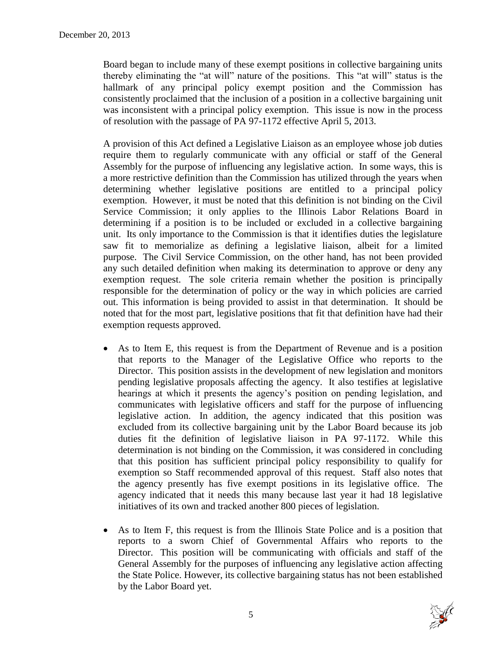Board began to include many of these exempt positions in collective bargaining units thereby eliminating the "at will" nature of the positions. This "at will" status is the hallmark of any principal policy exempt position and the Commission has consistently proclaimed that the inclusion of a position in a collective bargaining unit was inconsistent with a principal policy exemption. This issue is now in the process of resolution with the passage of PA 97-1172 effective April 5, 2013.

A provision of this Act defined a Legislative Liaison as an employee whose job duties require them to regularly communicate with any official or staff of the General Assembly for the purpose of influencing any legislative action. In some ways, this is a more restrictive definition than the Commission has utilized through the years when determining whether legislative positions are entitled to a principal policy exemption. However, it must be noted that this definition is not binding on the Civil Service Commission; it only applies to the Illinois Labor Relations Board in determining if a position is to be included or excluded in a collective bargaining unit. Its only importance to the Commission is that it identifies duties the legislature saw fit to memorialize as defining a legislative liaison, albeit for a limited purpose. The Civil Service Commission, on the other hand, has not been provided any such detailed definition when making its determination to approve or deny any exemption request. The sole criteria remain whether the position is principally responsible for the determination of policy or the way in which policies are carried out. This information is being provided to assist in that determination. It should be noted that for the most part, legislative positions that fit that definition have had their exemption requests approved.

- As to Item E, this request is from the Department of Revenue and is a position that reports to the Manager of the Legislative Office who reports to the Director. This position assists in the development of new legislation and monitors pending legislative proposals affecting the agency. It also testifies at legislative hearings at which it presents the agency's position on pending legislation, and communicates with legislative officers and staff for the purpose of influencing legislative action. In addition, the agency indicated that this position was excluded from its collective bargaining unit by the Labor Board because its job duties fit the definition of legislative liaison in PA 97-1172. While this determination is not binding on the Commission, it was considered in concluding that this position has sufficient principal policy responsibility to qualify for exemption so Staff recommended approval of this request. Staff also notes that the agency presently has five exempt positions in its legislative office. The agency indicated that it needs this many because last year it had 18 legislative initiatives of its own and tracked another 800 pieces of legislation.
- As to Item F, this request is from the Illinois State Police and is a position that reports to a sworn Chief of Governmental Affairs who reports to the Director. This position will be communicating with officials and staff of the General Assembly for the purposes of influencing any legislative action affecting the State Police. However, its collective bargaining status has not been established by the Labor Board yet.

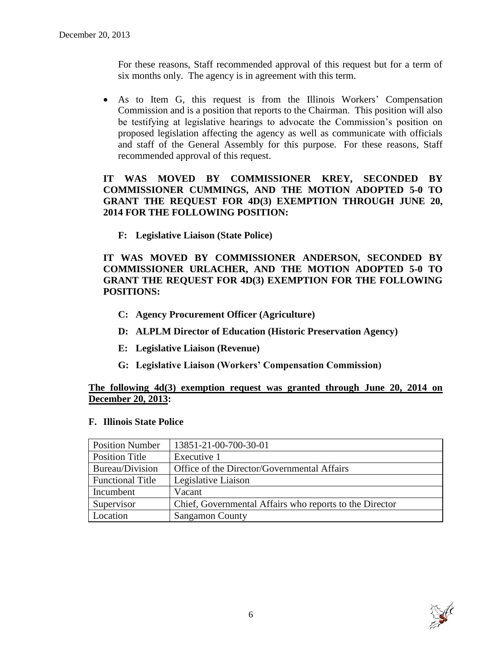For these reasons, Staff recommended approval of this request but for a term of six months only. The agency is in agreement with this term.

 As to Item G, this request is from the Illinois Workers' Compensation Commission and is a position that reports to the Chairman. This position will also be testifying at legislative hearings to advocate the Commission's position on proposed legislation affecting the agency as well as communicate with officials and staff of the General Assembly for this purpose. For these reasons, Staff recommended approval of this request.

# **IT WAS MOVED BY COMMISSIONER KREY, SECONDED BY COMMISSIONER CUMMINGS, AND THE MOTION ADOPTED 5-0 TO GRANT THE REQUEST FOR 4D(3) EXEMPTION THROUGH JUNE 20, 2014 FOR THE FOLLOWING POSITION:**

**F: Legislative Liaison (State Police)**

**IT WAS MOVED BY COMMISSIONER ANDERSON, SECONDED BY COMMISSIONER URLACHER, AND THE MOTION ADOPTED 5-0 TO GRANT THE REQUEST FOR 4D(3) EXEMPTION FOR THE FOLLOWING POSITIONS:**

- **C: Agency Procurement Officer (Agriculture)**
- **D: ALPLM Director of Education (Historic Preservation Agency)**
- **E: Legislative Liaison (Revenue)**
- **G: Legislative Liaison (Workers' Compensation Commission)**

# **The following 4d(3) exemption request was granted through June 20, 2014 on December 20, 2013:**

# **F. Illinois State Police**

| <b>Position Number</b>  | 13851-21-00-700-30-01                                   |
|-------------------------|---------------------------------------------------------|
| <b>Position Title</b>   | Executive 1                                             |
| Bureau/Division         | Office of the Director/Governmental Affairs             |
| <b>Functional Title</b> | Legislative Liaison                                     |
| Incumbent               | Vacant                                                  |
| Supervisor              | Chief, Governmental Affairs who reports to the Director |
| Location                | <b>Sangamon County</b>                                  |

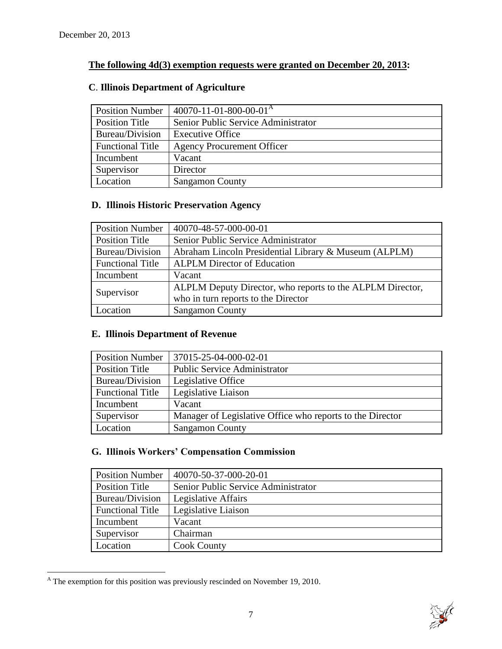# **The following 4d(3) exemption requests were granted on December 20, 2013:**

| <b>Position Number</b>  | $140070 - 11 - 01 - 800 - 00 - 01$ <sup>A</sup> |
|-------------------------|-------------------------------------------------|
| Position Title          | Senior Public Service Administrator             |
| Bureau/Division         | <b>Executive Office</b>                         |
| <b>Functional Title</b> | <b>Agency Procurement Officer</b>               |
| Incumbent               | Vacant                                          |
| Supervisor              | Director                                        |
| Location                | <b>Sangamon County</b>                          |

# **C**. **Illinois Department of Agriculture**

# **D. Illinois Historic Preservation Agency**

| <b>Position Number</b>  | 40070-48-57-000-00-01                                     |
|-------------------------|-----------------------------------------------------------|
| Position Title          | Senior Public Service Administrator                       |
| Bureau/Division         | Abraham Lincoln Presidential Library & Museum (ALPLM)     |
| <b>Functional Title</b> | <b>ALPLM Director of Education</b>                        |
| Incumbent               | Vacant                                                    |
| Supervisor              | ALPLM Deputy Director, who reports to the ALPLM Director, |
|                         | who in turn reports to the Director                       |
| Location                | <b>Sangamon County</b>                                    |

# **E. Illinois Department of Revenue**

| <b>Position Number</b>  | 37015-25-04-000-02-01                                     |
|-------------------------|-----------------------------------------------------------|
| <b>Position Title</b>   | <b>Public Service Administrator</b>                       |
| Bureau/Division         | Legislative Office                                        |
| <b>Functional Title</b> | Legislative Liaison                                       |
| Incumbent               | Vacant                                                    |
| Supervisor              | Manager of Legislative Office who reports to the Director |
| Location                | <b>Sangamon County</b>                                    |

# **G. Illinois Workers' Compensation Commission**

| <b>Position Number</b>  | 40070-50-37-000-20-01               |
|-------------------------|-------------------------------------|
| <b>Position Title</b>   | Senior Public Service Administrator |
| Bureau/Division         | Legislative Affairs                 |
| <b>Functional Title</b> | Legislative Liaison                 |
| Incumbent               | Vacant                              |
| Supervisor              | Chairman                            |
| Location                | <b>Cook County</b>                  |

 $\overline{a}$  $^{\text{A}}$  The exemption for this position was previously rescinded on November 19, 2010.

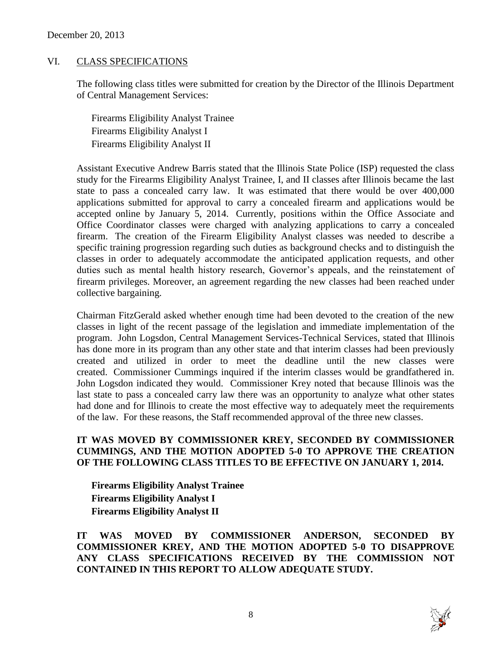#### VI. CLASS SPECIFICATIONS

The following class titles were submitted for creation by the Director of the Illinois Department of Central Management Services:

Firearms Eligibility Analyst Trainee Firearms Eligibility Analyst I Firearms Eligibility Analyst II

Assistant Executive Andrew Barris stated that the Illinois State Police (ISP) requested the class study for the Firearms Eligibility Analyst Trainee, I, and II classes after Illinois became the last state to pass a concealed carry law. It was estimated that there would be over 400,000 applications submitted for approval to carry a concealed firearm and applications would be accepted online by January 5, 2014. Currently, positions within the Office Associate and Office Coordinator classes were charged with analyzing applications to carry a concealed firearm. The creation of the Firearm Eligibility Analyst classes was needed to describe a specific training progression regarding such duties as background checks and to distinguish the classes in order to adequately accommodate the anticipated application requests, and other duties such as mental health history research, Governor's appeals, and the reinstatement of firearm privileges. Moreover, an agreement regarding the new classes had been reached under collective bargaining.

Chairman FitzGerald asked whether enough time had been devoted to the creation of the new classes in light of the recent passage of the legislation and immediate implementation of the program. John Logsdon, Central Management Services-Technical Services, stated that Illinois has done more in its program than any other state and that interim classes had been previously created and utilized in order to meet the deadline until the new classes were created. Commissioner Cummings inquired if the interim classes would be grandfathered in. John Logsdon indicated they would. Commissioner Krey noted that because Illinois was the last state to pass a concealed carry law there was an opportunity to analyze what other states had done and for Illinois to create the most effective way to adequately meet the requirements of the law. For these reasons, the Staff recommended approval of the three new classes.

#### **IT WAS MOVED BY COMMISSIONER KREY, SECONDED BY COMMISSIONER CUMMINGS, AND THE MOTION ADOPTED 5-0 TO APPROVE THE CREATION OF THE FOLLOWING CLASS TITLES TO BE EFFECTIVE ON JANUARY 1, 2014.**

**Firearms Eligibility Analyst Trainee Firearms Eligibility Analyst I Firearms Eligibility Analyst II**

**IT WAS MOVED BY COMMISSIONER ANDERSON, SECONDED BY COMMISSIONER KREY, AND THE MOTION ADOPTED 5-0 TO DISAPPROVE ANY CLASS SPECIFICATIONS RECEIVED BY THE COMMISSION NOT CONTAINED IN THIS REPORT TO ALLOW ADEQUATE STUDY.** 

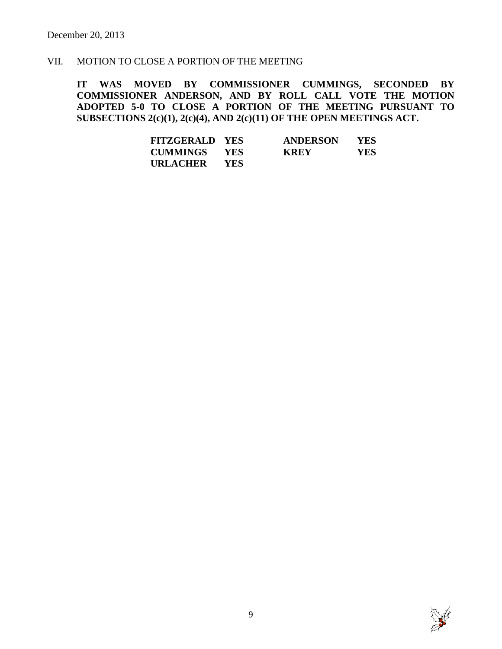# VII. MOTION TO CLOSE A PORTION OF THE MEETING

**IT WAS MOVED BY COMMISSIONER CUMMINGS, SECONDED BY COMMISSIONER ANDERSON, AND BY ROLL CALL VOTE THE MOTION ADOPTED 5-0 TO CLOSE A PORTION OF THE MEETING PURSUANT TO SUBSECTIONS 2(c)(1), 2(c)(4), AND 2(c)(11) OF THE OPEN MEETINGS ACT.**

| <b>FITZGERALD YES</b> |            | <b>ANDERSON</b> | <b>YES</b> |
|-----------------------|------------|-----------------|------------|
| <b>CUMMINGS</b>       | <b>YES</b> | <b>KREY</b>     | YES.       |
| URLACHER              | YES.       |                 |            |

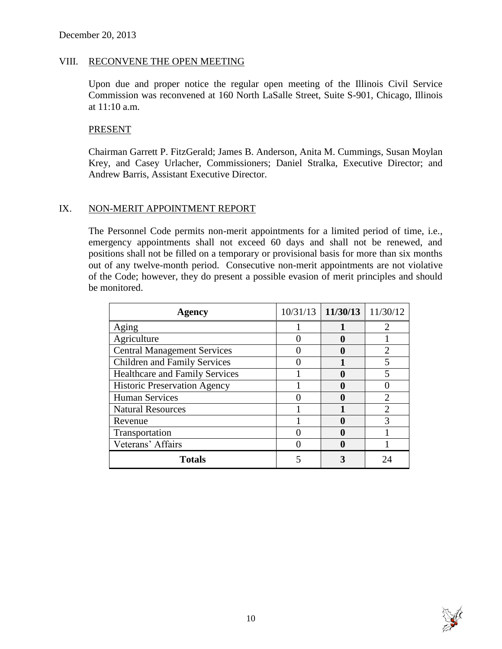#### VIII. RECONVENE THE OPEN MEETING

Upon due and proper notice the regular open meeting of the Illinois Civil Service Commission was reconvened at 160 North LaSalle Street, Suite S-901, Chicago, Illinois at 11:10 a.m.

#### PRESENT

Chairman Garrett P. FitzGerald; James B. Anderson, Anita M. Cummings, Susan Moylan Krey, and Casey Urlacher, Commissioners; Daniel Stralka, Executive Director; and Andrew Barris, Assistant Executive Director.

#### IX. NON-MERIT APPOINTMENT REPORT

The Personnel Code permits non-merit appointments for a limited period of time, i.e., emergency appointments shall not exceed 60 days and shall not be renewed, and positions shall not be filled on a temporary or provisional basis for more than six months out of any twelve-month period. Consecutive non-merit appointments are not violative of the Code; however, they do present a possible evasion of merit principles and should be monitored.

| Agency                                | $10/31/13$   11/30/13 | 11/30/12                    |
|---------------------------------------|-----------------------|-----------------------------|
| Aging                                 |                       | $\mathcal{D}_{\mathcal{L}}$ |
| Agriculture                           |                       |                             |
| <b>Central Management Services</b>    |                       |                             |
| <b>Children and Family Services</b>   |                       |                             |
| <b>Healthcare and Family Services</b> |                       |                             |
| <b>Historic Preservation Agency</b>   |                       |                             |
| <b>Human Services</b>                 |                       |                             |
| <b>Natural Resources</b>              |                       |                             |
| Revenue                               |                       |                             |
| Transportation                        |                       |                             |
| Veterans' Affairs                     |                       |                             |
| <b>Totals</b>                         |                       |                             |

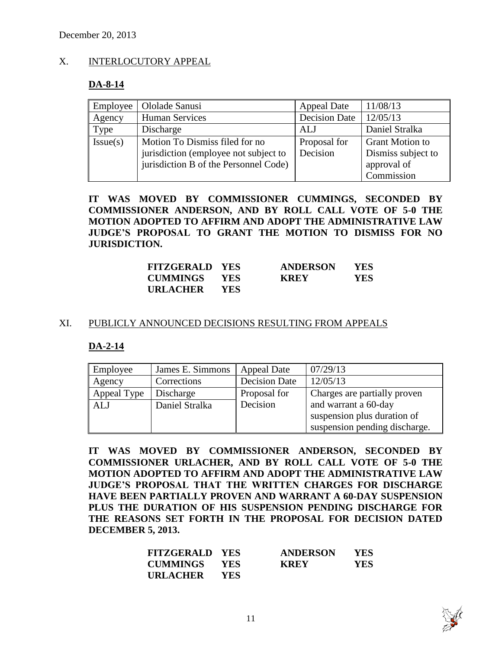# X. INTERLOCUTORY APPEAL

#### **DA-8-14**

| Employee | Ololade Sanusi                        | <b>Appeal Date</b>   | 11/08/13               |
|----------|---------------------------------------|----------------------|------------------------|
| Agency   | <b>Human Services</b>                 | <b>Decision Date</b> | 12/05/13               |
| Type     | Discharge                             | ALJ                  | Daniel Stralka         |
| Issue(s) | Motion To Dismiss filed for no        | Proposal for         | <b>Grant Motion to</b> |
|          | jurisdiction (employee not subject to | Decision             | Dismiss subject to     |
|          | jurisdiction B of the Personnel Code) |                      | approval of            |
|          |                                       |                      | Commission             |

**IT WAS MOVED BY COMMISSIONER CUMMINGS, SECONDED BY COMMISSIONER ANDERSON, AND BY ROLL CALL VOTE OF 5-0 THE MOTION ADOPTED TO AFFIRM AND ADOPT THE ADMINISTRATIVE LAW JUDGE'S PROPOSAL TO GRANT THE MOTION TO DISMISS FOR NO JURISDICTION.**

| <b>FITZGERALD YES</b> |            | <b>ANDERSON</b> | YES. |
|-----------------------|------------|-----------------|------|
| <b>CUMMINGS</b>       | <b>YES</b> | <b>KREY</b>     | YES. |
| URLACHER              | <b>YES</b> |                 |      |

#### XI. PUBLICLY ANNOUNCED DECISIONS RESULTING FROM APPEALS

#### **DA-2-14**

| Employee    | James E. Simmons | <b>Appeal Date</b>   | 07/29/13                      |
|-------------|------------------|----------------------|-------------------------------|
| Agency      | Corrections      | <b>Decision Date</b> | 12/05/13                      |
| Appeal Type | Discharge        | Proposal for         | Charges are partially proven  |
| <b>ALJ</b>  | Daniel Stralka   | Decision             | and warrant a 60-day          |
|             |                  |                      | suspension plus duration of   |
|             |                  |                      | suspension pending discharge. |

**IT WAS MOVED BY COMMISSIONER ANDERSON, SECONDED BY COMMISSIONER URLACHER, AND BY ROLL CALL VOTE OF 5-0 THE MOTION ADOPTED TO AFFIRM AND ADOPT THE ADMINISTRATIVE LAW JUDGE'S PROPOSAL THAT THE WRITTEN CHARGES FOR DISCHARGE HAVE BEEN PARTIALLY PROVEN AND WARRANT A 60-DAY SUSPENSION PLUS THE DURATION OF HIS SUSPENSION PENDING DISCHARGE FOR THE REASONS SET FORTH IN THE PROPOSAL FOR DECISION DATED DECEMBER 5, 2013.**

| <b>FITZGERALD YES</b> |            | <b>ANDERSON</b> | <b>YES</b> |
|-----------------------|------------|-----------------|------------|
| <b>CUMMINGS</b>       | <b>YES</b> | <b>KREY</b>     | <b>YES</b> |
| URLACHER              | <b>YES</b> |                 |            |

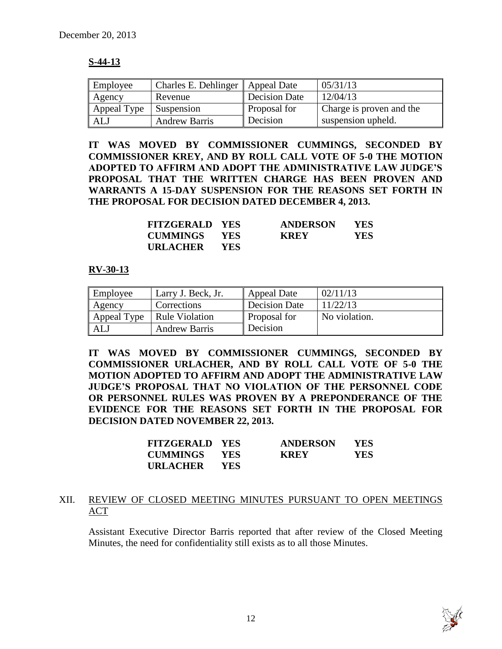# **S-44-13**

| Employee      | Charles E. Dehlinger | Appeal Date   | 05/31/13                 |
|---------------|----------------------|---------------|--------------------------|
| <b>Agency</b> | Revenue              | Decision Date | 12/04/13                 |
| Appeal Type   | Suspension           | Proposal for  | Charge is proven and the |
| ALJ           | <b>Andrew Barris</b> | Decision      | suspension upheld.       |

**IT WAS MOVED BY COMMISSIONER CUMMINGS, SECONDED BY COMMISSIONER KREY, AND BY ROLL CALL VOTE OF 5-0 THE MOTION ADOPTED TO AFFIRM AND ADOPT THE ADMINISTRATIVE LAW JUDGE'S PROPOSAL THAT THE WRITTEN CHARGE HAS BEEN PROVEN AND WARRANTS A 15-DAY SUSPENSION FOR THE REASONS SET FORTH IN THE PROPOSAL FOR DECISION DATED DECEMBER 4, 2013.**

| <b>FITZGERALD YES</b> |            | <b>ANDERSON</b> | YES. |
|-----------------------|------------|-----------------|------|
| <b>CUMMINGS YES</b>   |            | <b>KREY</b>     | YES  |
| URLACHER              | <b>YES</b> |                 |      |

#### **RV-30-13**

| Employee    | Larry J. Beck, Jr.    | Appeal Date   | 02/11/13      |
|-------------|-----------------------|---------------|---------------|
| Agency      | Corrections           | Decision Date | 11/22/13      |
| Appeal Type | <b>Rule Violation</b> | Proposal for  | No violation. |
| ALJ         | <b>Andrew Barris</b>  | Decision      |               |

**IT WAS MOVED BY COMMISSIONER CUMMINGS, SECONDED BY COMMISSIONER URLACHER, AND BY ROLL CALL VOTE OF 5-0 THE MOTION ADOPTED TO AFFIRM AND ADOPT THE ADMINISTRATIVE LAW JUDGE'S PROPOSAL THAT NO VIOLATION OF THE PERSONNEL CODE OR PERSONNEL RULES WAS PROVEN BY A PREPONDERANCE OF THE EVIDENCE FOR THE REASONS SET FORTH IN THE PROPOSAL FOR DECISION DATED NOVEMBER 22, 2013.**

| <b>FITZGERALD YES</b> |            | <b>ANDERSON</b> | <b>YES</b> |
|-----------------------|------------|-----------------|------------|
| CUMMINGS              | <b>YES</b> | <b>KREY</b>     | <b>YES</b> |
| <b>URLACHER</b>       | - YES      |                 |            |

# XII. REVIEW OF CLOSED MEETING MINUTES PURSUANT TO OPEN MEETINGS ACT

Assistant Executive Director Barris reported that after review of the Closed Meeting Minutes, the need for confidentiality still exists as to all those Minutes.

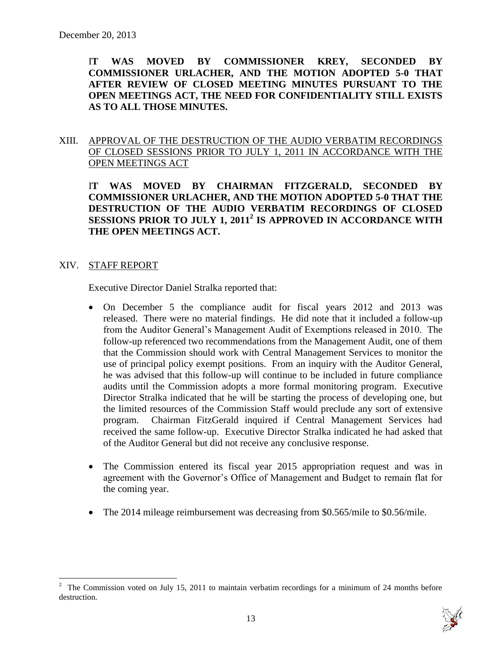I**T WAS MOVED BY COMMISSIONER KREY, SECONDED BY COMMISSIONER URLACHER, AND THE MOTION ADOPTED 5-0 THAT AFTER REVIEW OF CLOSED MEETING MINUTES PURSUANT TO THE OPEN MEETINGS ACT, THE NEED FOR CONFIDENTIALITY STILL EXISTS AS TO ALL THOSE MINUTES.**

# XIII. APPROVAL OF THE DESTRUCTION OF THE AUDIO VERBATIM RECORDINGS OF CLOSED SESSIONS PRIOR TO JULY 1, 2011 IN ACCORDANCE WITH THE OPEN MEETINGS ACT

I**T WAS MOVED BY CHAIRMAN FITZGERALD, SECONDED BY COMMISSIONER URLACHER, AND THE MOTION ADOPTED 5-0 THAT THE DESTRUCTION OF THE AUDIO VERBATIM RECORDINGS OF CLOSED SESSIONS PRIOR TO JULY 1, 2011<sup>2</sup> IS APPROVED IN ACCORDANCE WITH THE OPEN MEETINGS ACT.**

#### XIV. STAFF REPORT

 $\overline{a}$ 

Executive Director Daniel Stralka reported that:

- On December 5 the compliance audit for fiscal years 2012 and 2013 was released. There were no material findings. He did note that it included a follow-up from the Auditor General's Management Audit of Exemptions released in 2010. The follow-up referenced two recommendations from the Management Audit, one of them that the Commission should work with Central Management Services to monitor the use of principal policy exempt positions. From an inquiry with the Auditor General, he was advised that this follow-up will continue to be included in future compliance audits until the Commission adopts a more formal monitoring program. Executive Director Stralka indicated that he will be starting the process of developing one, but the limited resources of the Commission Staff would preclude any sort of extensive program. Chairman FitzGerald inquired if Central Management Services had received the same follow-up. Executive Director Stralka indicated he had asked that of the Auditor General but did not receive any conclusive response.
- The Commission entered its fiscal year 2015 appropriation request and was in agreement with the Governor's Office of Management and Budget to remain flat for the coming year.
- The 2014 mileage reimbursement was decreasing from \$0.565/mile to \$0.56/mile.

<sup>&</sup>lt;sup>2</sup> The Commission voted on July 15, 2011 to maintain verbatim recordings for a minimum of 24 months before destruction.